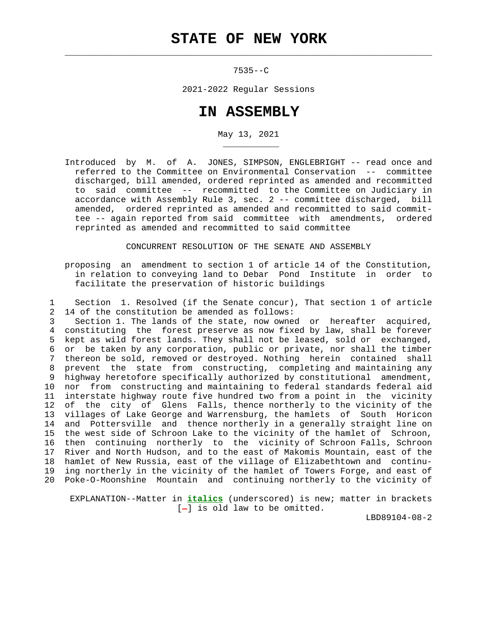## **STATE OF NEW YORK**

 $\mathcal{L}_\text{max} = \frac{1}{2} \sum_{i=1}^{n} \frac{1}{2} \sum_{i=1}^{n} \frac{1}{2} \sum_{i=1}^{n} \frac{1}{2} \sum_{i=1}^{n} \frac{1}{2} \sum_{i=1}^{n} \frac{1}{2} \sum_{i=1}^{n} \frac{1}{2} \sum_{i=1}^{n} \frac{1}{2} \sum_{i=1}^{n} \frac{1}{2} \sum_{i=1}^{n} \frac{1}{2} \sum_{i=1}^{n} \frac{1}{2} \sum_{i=1}^{n} \frac{1}{2} \sum_{i=1}^{n} \frac{1$ 

\_\_\_\_\_\_\_\_\_\_\_

7535--C

2021-2022 Regular Sessions

## **IN ASSEMBLY**

May 13, 2021

 Introduced by M. of A. JONES, SIMPSON, ENGLEBRIGHT -- read once and referred to the Committee on Environmental Conservation -- committee discharged, bill amended, ordered reprinted as amended and recommitted to said committee -- recommitted to the Committee on Judiciary in accordance with Assembly Rule 3, sec. 2 -- committee discharged, bill amended, ordered reprinted as amended and recommitted to said commit tee -- again reported from said committee with amendments, ordered reprinted as amended and recommitted to said committee

CONCURRENT RESOLUTION OF THE SENATE AND ASSEMBLY

 proposing an amendment to section 1 of article 14 of the Constitution, in relation to conveying land to Debar Pond Institute in order to facilitate the preservation of historic buildings

 1 Section 1. Resolved (if the Senate concur), That section 1 of article 2 14 of the constitution be amended as follows:

 3 Section 1. The lands of the state, now owned or hereafter acquired, 4 constituting the forest preserve as now fixed by law, shall be forever 5 kept as wild forest lands. They shall not be leased, sold or exchanged, 6 or be taken by any corporation, public or private, nor shall the timber 7 thereon be sold, removed or destroyed. Nothing herein contained shall 8 prevent the state from constructing, completing and maintaining any 9 highway heretofore specifically authorized by constitutional amendment, 10 nor from constructing and maintaining to federal standards federal aid 11 interstate highway route five hundred two from a point in the vicinity 12 of the city of Glens Falls, thence northerly to the vicinity of the 13 villages of Lake George and Warrensburg, the hamlets of South Horicon 14 and Pottersville and thence northerly in a generally straight line on 15 the west side of Schroon Lake to the vicinity of the hamlet of Schroon, 16 then continuing northerly to the vicinity of Schroon Falls, Schroon 17 River and North Hudson, and to the east of Makomis Mountain, east of the 18 hamlet of New Russia, east of the village of Elizabethtown and continu- 19 ing northerly in the vicinity of the hamlet of Towers Forge, and east of 20 Poke-O-Moonshine Mountain and continuing northerly to the vicinity of

 EXPLANATION--Matter in **italics** (underscored) is new; matter in brackets  $[-]$  is old law to be omitted.

LBD89104-08-2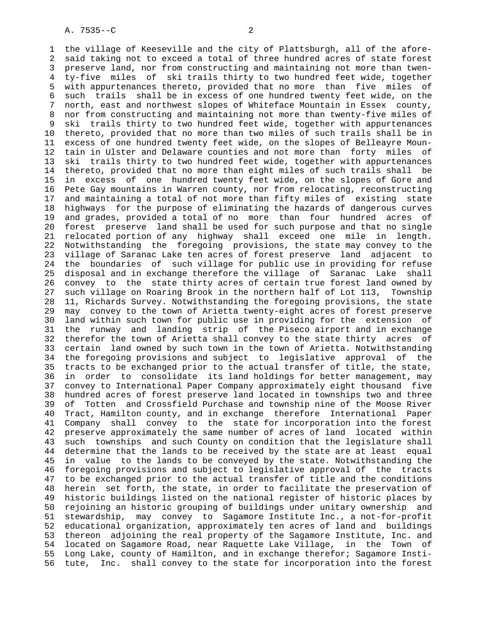1 the village of Keeseville and the city of Plattsburgh, all of the afore- 2 said taking not to exceed a total of three hundred acres of state forest 3 preserve land, nor from constructing and maintaining not more than twen- 4 ty-five miles of ski trails thirty to two hundred feet wide, together 5 with appurtenances thereto, provided that no more than five miles of 6 such trails shall be in excess of one hundred twenty feet wide, on the 7 north, east and northwest slopes of Whiteface Mountain in Essex county, 8 nor from constructing and maintaining not more than twenty-five miles of 9 ski trails thirty to two hundred feet wide, together with appurtenances<br>10 thereto, provided that no more than two miles of such trails shall be in thereto, provided that no more than two miles of such trails shall be in 11 excess of one hundred twenty feet wide, on the slopes of Belleayre Moun- 12 tain in Ulster and Delaware counties and not more than forty miles of 13 ski trails thirty to two hundred feet wide, together with appurtenances 14 thereto, provided that no more than eight miles of such trails shall be 15 in excess of one hundred twenty feet wide, on the slopes of Gore and 16 Pete Gay mountains in Warren county, nor from relocating, reconstructing 17 and maintaining a total of not more than fifty miles of existing state 18 highways for the purpose of eliminating the hazards of dangerous curves 19 and grades, provided a total of no more than four hundred acres of 20 forest preserve land shall be used for such purpose and that no single 21 relocated portion of any highway shall exceed one mile in length. 22 Notwithstanding the foregoing provisions, the state may convey to the 23 village of Saranac Lake ten acres of forest preserve land adjacent to 24 the boundaries of such village for public use in providing for refuse 25 disposal and in exchange therefore the village of Saranac Lake shall 26 convey to the state thirty acres of certain true forest land owned by 27 such village on Roaring Brook in the northern half of Lot 113, Township 28 11, Richards Survey. Notwithstanding the foregoing provisions, the state 29 may convey to the town of Arietta twenty-eight acres of forest preserve 30 land within such town for public use in providing for the extension of 31 the runway and landing strip of the Piseco airport and in exchange 32 therefor the town of Arietta shall convey to the state thirty acres of 33 certain land owned by such town in the town of Arietta. Notwithstanding 34 the foregoing provisions and subject to legislative approval of the 35 tracts to be exchanged prior to the actual transfer of title, the state, 36 in order to consolidate its land holdings for better management, may 37 convey to International Paper Company approximately eight thousand five 38 hundred acres of forest preserve land located in townships two and three 39 of Totten and Crossfield Purchase and township nine of the Moose River 40 Tract, Hamilton county, and in exchange therefore International Paper 41 Company shall convey to the state for incorporation into the forest 42 preserve approximately the same number of acres of land located within 43 such townships and such County on condition that the legislature shall 44 determine that the lands to be received by the state are at least equal 45 in value to the lands to be conveyed by the state. Notwithstanding the 46 foregoing provisions and subject to legislative approval of the tracts 47 to be exchanged prior to the actual transfer of title and the conditions 48 herein set forth, the state, in order to facilitate the preservation of 49 historic buildings listed on the national register of historic places by 50 rejoining an historic grouping of buildings under unitary ownership and 51 stewardship, may convey to Sagamore Institute Inc., a not-for-profit 52 educational organization, approximately ten acres of land and buildings 53 thereon adjoining the real property of the Sagamore Institute, Inc. and 54 located on Sagamore Road, near Raquette Lake Village, in the Town of 55 Long Lake, county of Hamilton, and in exchange therefor; Sagamore Insti- 56 tute, Inc. shall convey to the state for incorporation into the forest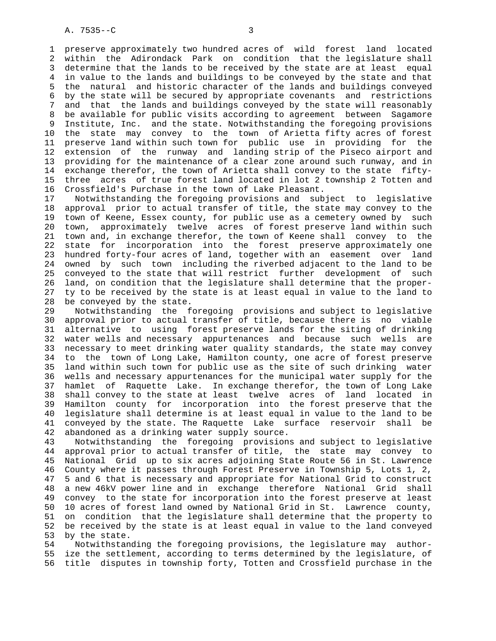1 preserve approximately two hundred acres of wild forest land located 2 within the Adirondack Park on condition that the legislature shall 3 determine that the lands to be received by the state are at least equal 4 in value to the lands and buildings to be conveyed by the state and that 5 the natural and historic character of the lands and buildings conveyed 6 by the state will be secured by appropriate covenants and restrictions 7 and that the lands and buildings conveyed by the state will reasonably 8 be available for public visits according to agreement between Sagamore 9 Institute, Inc. and the state. Notwithstanding the foregoing provisions<br>10 the state may convey to the town of Arietta fifty acres of forest the state may convey to the town of Arietta fifty acres of forest 11 preserve land within such town for public use in providing for the 12 extension of the runway and landing strip of the Piseco airport and 13 providing for the maintenance of a clear zone around such runway, and in 14 exchange therefor, the town of Arietta shall convey to the state fifty- 15 three acres of true forest land located in lot 2 township 2 Totten and 16 Crossfield's Purchase in the town of Lake Pleasant.

 17 Notwithstanding the foregoing provisions and subject to legislative 18 approval prior to actual transfer of title, the state may convey to the 19 town of Keene, Essex county, for public use as a cemetery owned by such 20 town, approximately twelve acres of forest preserve land within such 21 town and, in exchange therefor, the town of Keene shall convey to the 22 state for incorporation into the forest preserve approximately one 23 hundred forty-four acres of land, together with an easement over land 24 owned by such town including the riverbed adjacent to the land to be 25 conveyed to the state that will restrict further development of such 26 land, on condition that the legislature shall determine that the proper- 27 ty to be received by the state is at least equal in value to the land to 28 be conveyed by the state.

 29 Notwithstanding the foregoing provisions and subject to legislative 30 approval prior to actual transfer of title, because there is no viable 31 alternative to using forest preserve lands for the siting of drinking 32 water wells and necessary appurtenances and because such wells are 33 necessary to meet drinking water quality standards, the state may convey 34 to the town of Long Lake, Hamilton county, one acre of forest preserve 35 land within such town for public use as the site of such drinking water 36 wells and necessary appurtenances for the municipal water supply for the 37 hamlet of Raquette Lake. In exchange therefor, the town of Long Lake 38 shall convey to the state at least twelve acres of land located in 39 Hamilton county for incorporation into the forest preserve that the 40 legislature shall determine is at least equal in value to the land to be 41 conveyed by the state. The Raquette Lake surface reservoir shall be 42 abandoned as a drinking water supply source.

 43 Notwithstanding the foregoing provisions and subject to legislative 44 approval prior to actual transfer of title, the state may convey to 45 National Grid up to six acres adjoining State Route 56 in St. Lawrence 46 County where it passes through Forest Preserve in Township 5, Lots 1, 2, 47 5 and 6 that is necessary and appropriate for National Grid to construct 48 a new 46kV power line and in exchange therefore National Grid shall 49 convey to the state for incorporation into the forest preserve at least 50 10 acres of forest land owned by National Grid in St. Lawrence county, 51 on condition that the legislature shall determine that the property to 52 be received by the state is at least equal in value to the land conveyed 53 by the state.

 54 Notwithstanding the foregoing provisions, the legislature may author- 55 ize the settlement, according to terms determined by the legislature, of 56 title disputes in township forty, Totten and Crossfield purchase in the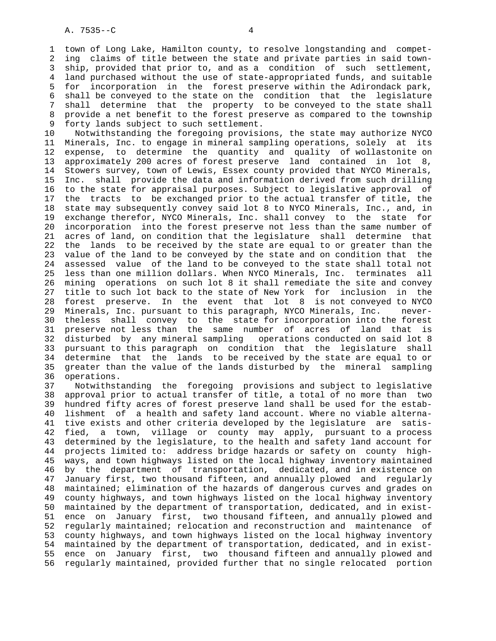1 town of Long Lake, Hamilton county, to resolve longstanding and compet- 2 ing claims of title between the state and private parties in said town- 3 ship, provided that prior to, and as a condition of such settlement, 4 land purchased without the use of state-appropriated funds, and suitable 5 for incorporation in the forest preserve within the Adirondack park, 6 shall be conveyed to the state on the condition that the legislature 7 shall determine that the property to be conveyed to the state shall 8 provide a net benefit to the forest preserve as compared to the township 9 forty lands subject to such settlement.

 10 Notwithstanding the foregoing provisions, the state may authorize NYCO 11 Minerals, Inc. to engage in mineral sampling operations, solely at its 12 expense, to determine the quantity and quality of wollastonite on 13 approximately 200 acres of forest preserve land contained in lot 8, 14 Stowers survey, town of Lewis, Essex county provided that NYCO Minerals, 15 Inc. shall provide the data and information derived from such drilling 16 to the state for appraisal purposes. Subject to legislative approval of 17 the tracts to be exchanged prior to the actual transfer of title, the 18 state may subsequently convey said lot 8 to NYCO Minerals, Inc., and, in 19 exchange therefor, NYCO Minerals, Inc. shall convey to the state for 20 incorporation into the forest preserve not less than the same number of 21 acres of land, on condition that the legislature shall determine that 22 the lands to be received by the state are equal to or greater than the 23 value of the land to be conveyed by the state and on condition that the 24 assessed value of the land to be conveyed to the state shall total not 25 less than one million dollars. When NYCO Minerals, Inc. terminates all 26 mining operations on such lot 8 it shall remediate the site and convey 27 title to such lot back to the state of New York for inclusion in the 28 forest preserve. In the event that lot 8 is not conveyed to NYCO 29 Minerals, Inc. pursuant to this paragraph, NYCO Minerals, Inc. never- 30 theless shall convey to the state for incorporation into the forest 31 preserve not less than the same number of acres of land that is 32 disturbed by any mineral sampling operations conducted on said lot 8 33 pursuant to this paragraph on condition that the legislature shall 34 determine that the lands to be received by the state are equal to or 35 greater than the value of the lands disturbed by the mineral sampling 36 operations.

 37 Notwithstanding the foregoing provisions and subject to legislative 38 approval prior to actual transfer of title, a total of no more than two 39 hundred fifty acres of forest preserve land shall be used for the estab- 40 lishment of a health and safety land account. Where no viable alterna- 41 tive exists and other criteria developed by the legislature are satis- 42 fied, a town, village or county may apply, pursuant to a process 43 determined by the legislature, to the health and safety land account for 44 projects limited to: address bridge hazards or safety on county high- 45 ways, and town highways listed on the local highway inventory maintained 46 by the department of transportation, dedicated, and in existence on 47 January first, two thousand fifteen, and annually plowed and regularly 48 maintained; elimination of the hazards of dangerous curves and grades on 49 county highways, and town highways listed on the local highway inventory 50 maintained by the department of transportation, dedicated, and in exist- 51 ence on January first, two thousand fifteen, and annually plowed and 52 regularly maintained; relocation and reconstruction and maintenance of 53 county highways, and town highways listed on the local highway inventory 54 maintained by the department of transportation, dedicated, and in exist- 55 ence on January first, two thousand fifteen and annually plowed and 56 regularly maintained, provided further that no single relocated portion